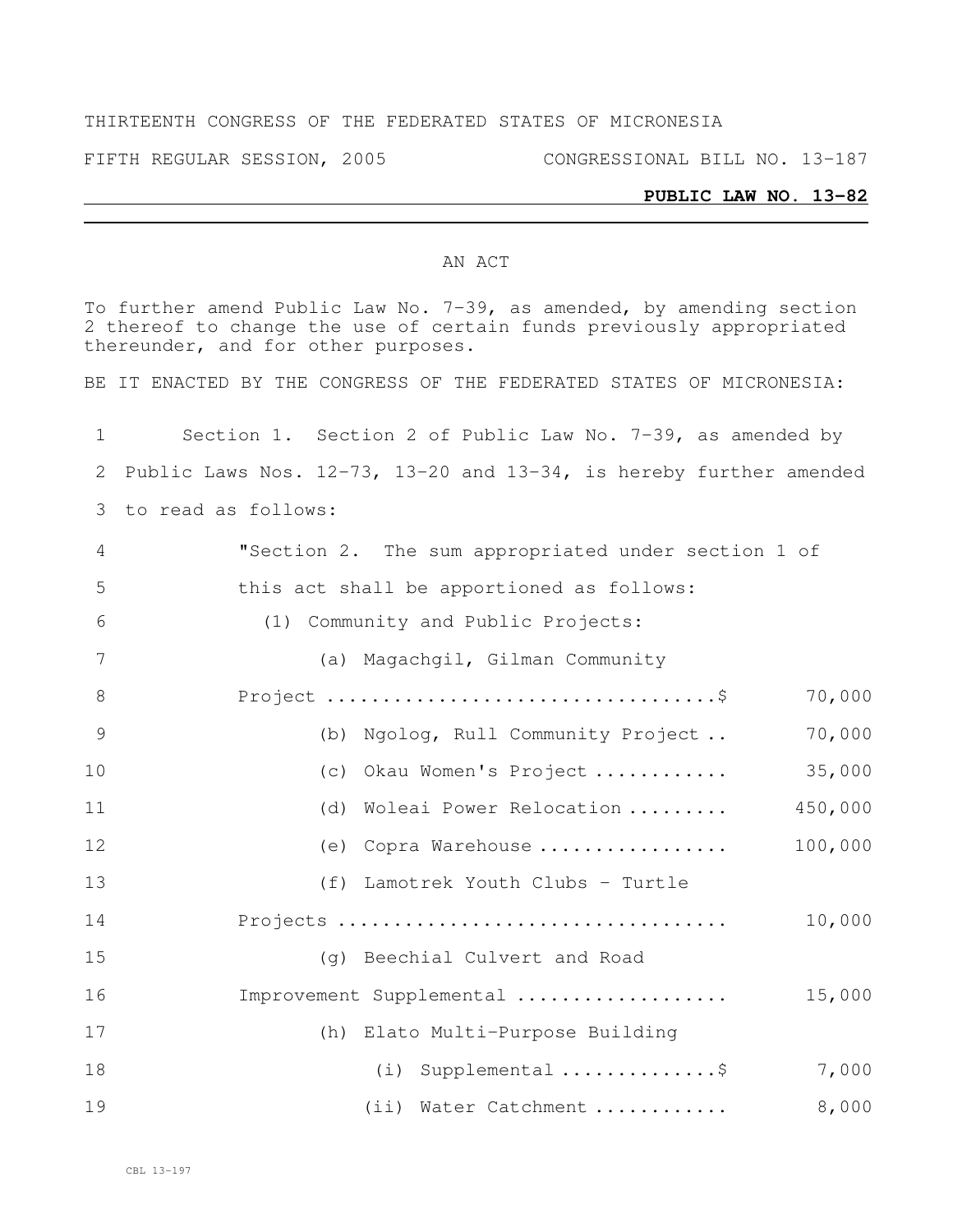### THIRTEENTH CONGRESS OF THE FEDERATED STATES OF MICRONESIA

FIFTH REGULAR SESSION, 2005 CONGRESSIONAL BILL NO. 13-187

#### **PUBLIC LAW NO. 13-82**

### AN ACT

To further amend Public Law No. 7-39, as amended, by amending section thereof to change the use of certain funds previously appropriated thereunder, and for other purposes.

BE IT ENACTED BY THE CONGRESS OF THE FEDERATED STATES OF MICRONESIA:

| 1              | Section 1. Section 2 of Public Law No. 7-39, as amended by                 |  |  |  |  |  |  |  |
|----------------|----------------------------------------------------------------------------|--|--|--|--|--|--|--|
| 2              | Public Laws Nos. $12-73$ , $13-20$ and $13-34$ , is hereby further amended |  |  |  |  |  |  |  |
| 3              | to read as follows:                                                        |  |  |  |  |  |  |  |
| $\overline{4}$ | "Section 2. The sum appropriated under section 1 of                        |  |  |  |  |  |  |  |
| 5              | this act shall be apportioned as follows:                                  |  |  |  |  |  |  |  |
| 6              | (1) Community and Public Projects:                                         |  |  |  |  |  |  |  |
| 7              | (a) Magachgil, Gilman Community                                            |  |  |  |  |  |  |  |
| 8              | 70,000                                                                     |  |  |  |  |  |  |  |
| 9              | (b) Ngolog, Rull Community Project<br>70,000                               |  |  |  |  |  |  |  |
| 10             | 35,000<br>(c) Okau Women's Project                                         |  |  |  |  |  |  |  |
| 11             | (d) Woleai Power Relocation<br>450,000                                     |  |  |  |  |  |  |  |
| 12             | 100,000<br>(e) Copra Warehouse                                             |  |  |  |  |  |  |  |
| 13             | (f) Lamotrek Youth Clubs - Turtle                                          |  |  |  |  |  |  |  |
| 14             | 10,000                                                                     |  |  |  |  |  |  |  |
| 15             | (g) Beechial Culvert and Road                                              |  |  |  |  |  |  |  |
| 16             | Improvement Supplemental<br>15,000                                         |  |  |  |  |  |  |  |
| 17             | (h) Elato Multi-Purpose Building                                           |  |  |  |  |  |  |  |
| 18             | (i) Supplemental \$<br>7,000                                               |  |  |  |  |  |  |  |
| 19             | 8,000<br>(ii) Water Catchment                                              |  |  |  |  |  |  |  |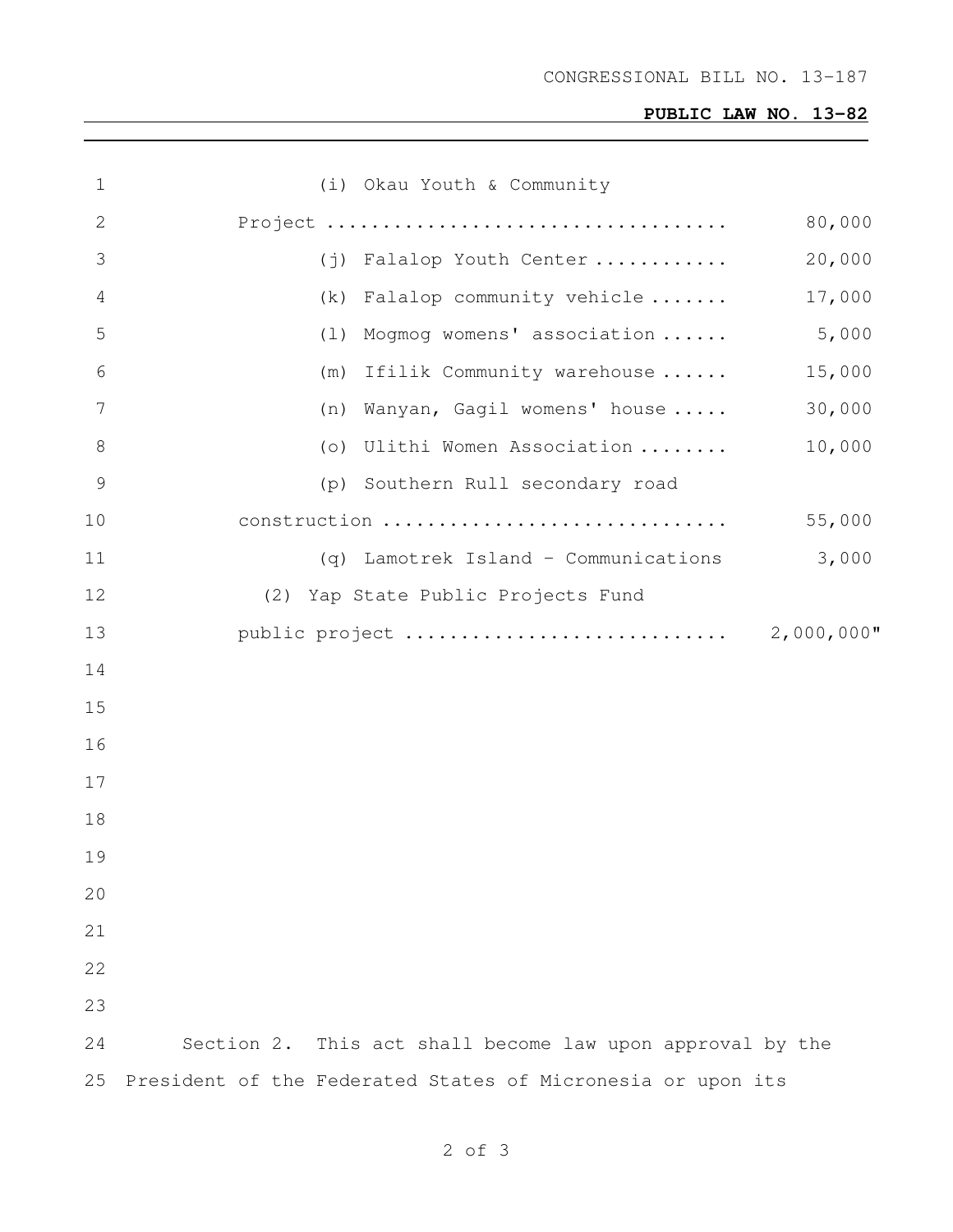# **PUBLIC LAW NO. 13-82**

| $\mathbf 1$     | (i) Okau Youth & Community                                  |               |  |  |  |  |  |  |
|-----------------|-------------------------------------------------------------|---------------|--|--|--|--|--|--|
| $\mathbf{2}$    |                                                             | 80,000        |  |  |  |  |  |  |
| 3               | (j) Falalop Youth Center                                    | 20,000        |  |  |  |  |  |  |
| 4               | (k) Falalop community vehicle                               | 17,000        |  |  |  |  |  |  |
| 5               | (1) Mogmog womens' association                              | 5,000         |  |  |  |  |  |  |
| 6               | (m) Ifilik Community warehouse                              | 15,000        |  |  |  |  |  |  |
| $7\phantom{.0}$ | (n) Wanyan, Gagil womens' house                             | 30,000        |  |  |  |  |  |  |
| $8\,$           | (o) Ulithi Women Association                                | 10,000        |  |  |  |  |  |  |
| $\mathcal{G}$   | (p) Southern Rull secondary road                            |               |  |  |  |  |  |  |
| 10              | construction                                                | 55,000        |  |  |  |  |  |  |
| 11              | (q) Lamotrek Island - Communications                        | 3,000         |  |  |  |  |  |  |
| 12              | (2) Yap State Public Projects Fund                          |               |  |  |  |  |  |  |
| 13              | public project                                              | $2,000,000$ " |  |  |  |  |  |  |
| 14              |                                                             |               |  |  |  |  |  |  |
| 15              |                                                             |               |  |  |  |  |  |  |
| 16              |                                                             |               |  |  |  |  |  |  |
| 17              |                                                             |               |  |  |  |  |  |  |
| 18              |                                                             |               |  |  |  |  |  |  |
| 19              |                                                             |               |  |  |  |  |  |  |
| 20              |                                                             |               |  |  |  |  |  |  |
| 21              |                                                             |               |  |  |  |  |  |  |
| 22              |                                                             |               |  |  |  |  |  |  |
| 23              |                                                             |               |  |  |  |  |  |  |
| 24              | Section 2. This act shall become law upon approval by the   |               |  |  |  |  |  |  |
| 25              | President of the Federated States of Micronesia or upon its |               |  |  |  |  |  |  |